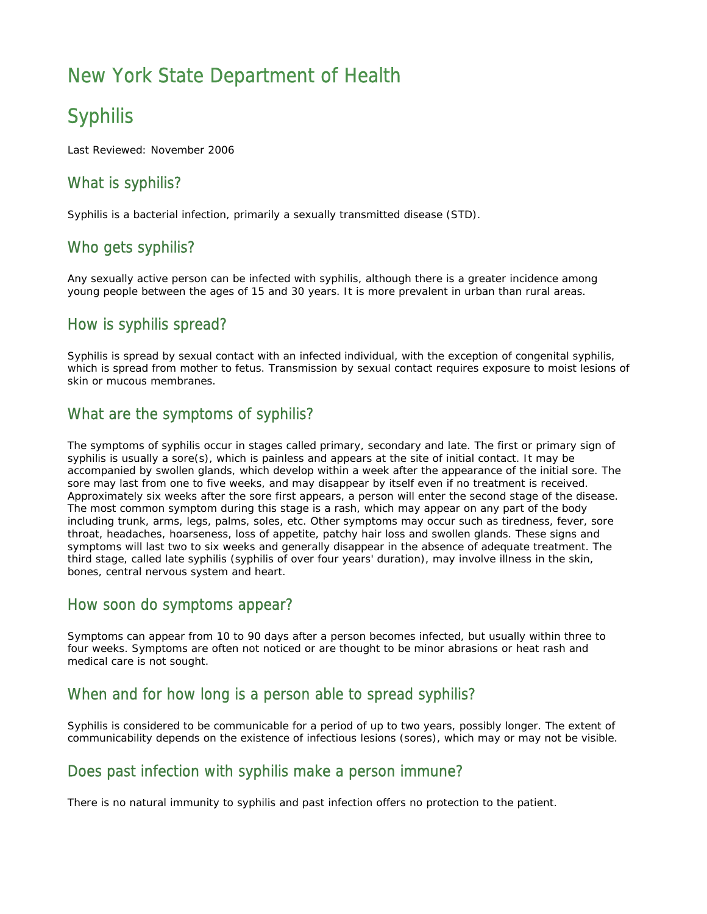## New York State Department of Health

# **Syphilis**

Last Reviewed: November 2006

## What is syphilis?

Syphilis is a bacterial infection, primarily a sexually transmitted disease (STD).

## Who gets syphilis?

Any sexually active person can be infected with syphilis, although there is a greater incidence among young people between the ages of 15 and 30 years. It is more prevalent in urban than rural areas.

#### How is syphilis spread?

Syphilis is spread by sexual contact with an infected individual, with the exception of congenital syphilis, which is spread from mother to fetus. Transmission by sexual contact requires exposure to moist lesions of skin or mucous membranes.

### What are the symptoms of syphilis?

The symptoms of syphilis occur in stages called primary, secondary and late. The first or primary sign of syphilis is usually a sore(s), which is painless and appears at the site of initial contact. It may be accompanied by swollen glands, which develop within a week after the appearance of the initial sore. The sore may last from one to five weeks, and may disappear by itself even if no treatment is received. Approximately six weeks after the sore first appears, a person will enter the second stage of the disease. The most common symptom during this stage is a rash, which may appear on any part of the body including trunk, arms, legs, palms, soles, etc. Other symptoms may occur such as tiredness, fever, sore throat, headaches, hoarseness, loss of appetite, patchy hair loss and swollen glands. These signs and symptoms will last two to six weeks and generally disappear in the absence of adequate treatment. The third stage, called late syphilis (syphilis of over four years' duration), may involve illness in the skin, bones, central nervous system and heart.

#### How soon do symptoms appear?

Symptoms can appear from 10 to 90 days after a person becomes infected, but usually within three to four weeks. Symptoms are often not noticed or are thought to be minor abrasions or heat rash and medical care is not sought.

#### When and for how long is a person able to spread syphilis?

Syphilis is considered to be communicable for a period of up to two years, possibly longer. The extent of communicability depends on the existence of infectious lesions (sores), which may or may not be visible.

#### Does past infection with syphilis make a person immune?

There is no natural immunity to syphilis and past infection offers no protection to the patient.